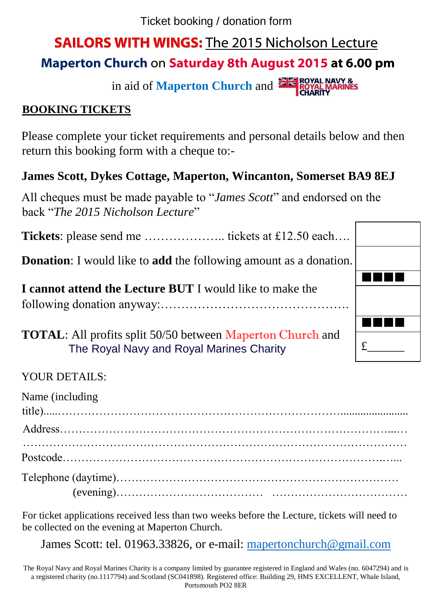Ticket booking / donation form

# **SAILORS WITH WINGS:** The 2015 Nicholson Lecture

## **Maperton Church** on **Saturday 8th August 2015 at 6.00 pm**

in aid of **Maperton Church** and **EXPROYAL MARINES** 

#### **BOOKING TICKETS**

Please complete your ticket requirements and personal details below and then return this booking form with a cheque to:-

#### **James Scott, Dykes Cottage, Maperton, Wincanton, Somerset BA9 8EJ**

All cheques must be made payable to "*James Scott*" and endorsed on the back "*The 2015 Nicholson Lecture*"

**Tickets**: please send me ……………….. tickets at £12.50 each….

**Donation**: I would like to **add** the following amount as a donation.

**I cannot attend the Lecture BUT** I would like to make the following donation anyway:……………………………………….

**TOTAL**: All profits split 50/50 between Maperton Church and The Royal Navy and Royal Marines Charity



| Name (including) |  |  |  |  |
|------------------|--|--|--|--|
|                  |  |  |  |  |
|                  |  |  |  |  |
|                  |  |  |  |  |
|                  |  |  |  |  |

For ticket applications received less than two weeks before the Lecture, tickets will need to be collected on the evening at Maperton Church.

James Scott: tel. 01963.33826, or e-mail: [mapertonchurch@gmail.com](mailto:mapertonchurch@gmail.com)